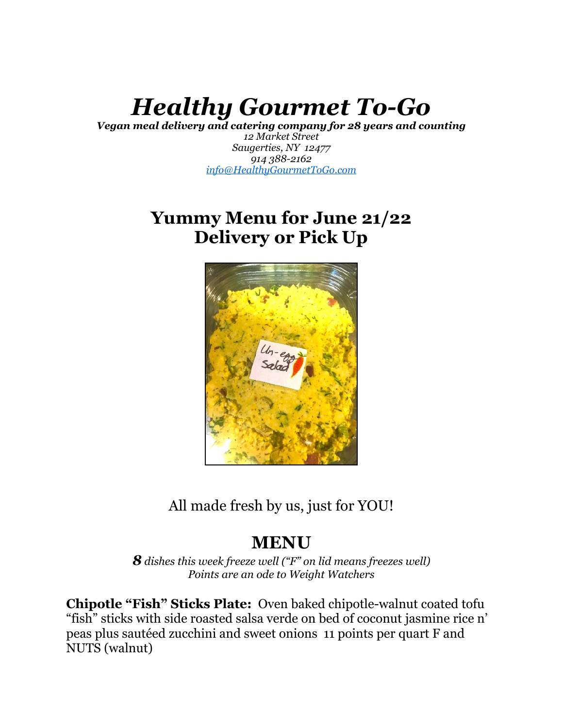# *Healthy Gourmet To-Go*

*Vegan meal delivery and catering company for 28 years and counting*

*12 Market Street Saugerties, NY 12477 914 388-2162 [info@HealthyGourmetToGo.com](mailto:info@HealthyGourmetToGo.com)* 

# **Yummy Menu for June 21/22 Delivery or Pick Up**



All made fresh by us, just for YOU!

# **MENU**

*8 dishes this week freeze well ("F" on lid means freezes well) Points are an ode to Weight Watchers* 

**Chipotle "Fish" Sticks Plate:** Oven baked chipotle-walnut coated tofu "fish" sticks with side roasted salsa verde on bed of coconut jasmine rice n' peas plus sautéed zucchini and sweet onions 11 points per quart F and NUTS (walnut)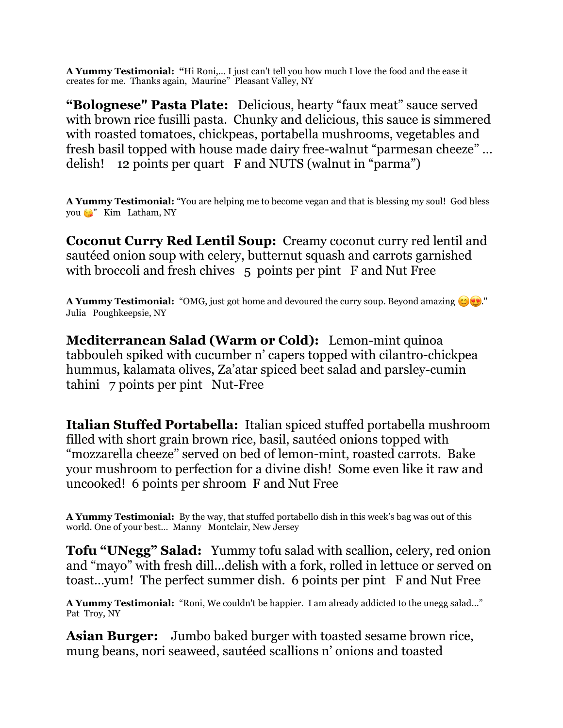**A Yummy Testimonial: "**Hi Roni,… I just can't tell you how much I love the food and the ease it creates for me. Thanks again, Maurine" Pleasant Valley, NY

**"Bolognese" Pasta Plate:** Delicious, hearty "faux meat" sauce served with brown rice fusilli pasta. Chunky and delicious, this sauce is simmered with roasted tomatoes, chickpeas, portabella mushrooms, vegetables and fresh basil topped with house made dairy free-walnut "parmesan cheeze" … delish! 12 points per quart F and NUTS (walnut in "parma")

**A Yummy Testimonial:** "You are helping me to become vegan and that is blessing my soul! God bless you <sup>3</sup> Kim Latham, NY

**Coconut Curry Red Lentil Soup:** Creamy coconut curry red lentil and sautéed onion soup with celery, butternut squash and carrots garnished with broccoli and fresh chives 5 points per pint F and Nut Free

**A Yummy Testimonial:** "OMG, just got home and devoured the curry soup. Beyond amazing  $\bigcirc$ ." Julia Poughkeepsie, NY

**Mediterranean Salad (Warm or Cold):** Lemon-mint quinoa tabbouleh spiked with cucumber n' capers topped with cilantro-chickpea hummus, kalamata olives, Za'atar spiced beet salad and parsley-cumin tahini 7 points per pint Nut-Free

**Italian Stuffed Portabella:** Italian spiced stuffed portabella mushroom filled with short grain brown rice, basil, sautéed onions topped with "mozzarella cheeze" served on bed of lemon-mint, roasted carrots. Bake your mushroom to perfection for a divine dish! Some even like it raw and uncooked! 6 points per shroom F and Nut Free

**A Yummy Testimonial:** By the way, that stuffed portabello dish in this week's bag was out of this world. One of your best… Manny Montclair, New Jersey

**Tofu "UNegg" Salad:** Yummy tofu salad with scallion, celery, red onion and "mayo" with fresh dill…delish with a fork, rolled in lettuce or served on toast…yum! The perfect summer dish. 6 points per pint F and Nut Free

**A Yummy Testimonial:** "Roni, We couldn't be happier. I am already addicted to the unegg salad…" Pat Troy, NY

**Asian Burger:** Jumbo baked burger with toasted sesame brown rice, mung beans, nori seaweed, sautéed scallions n' onions and toasted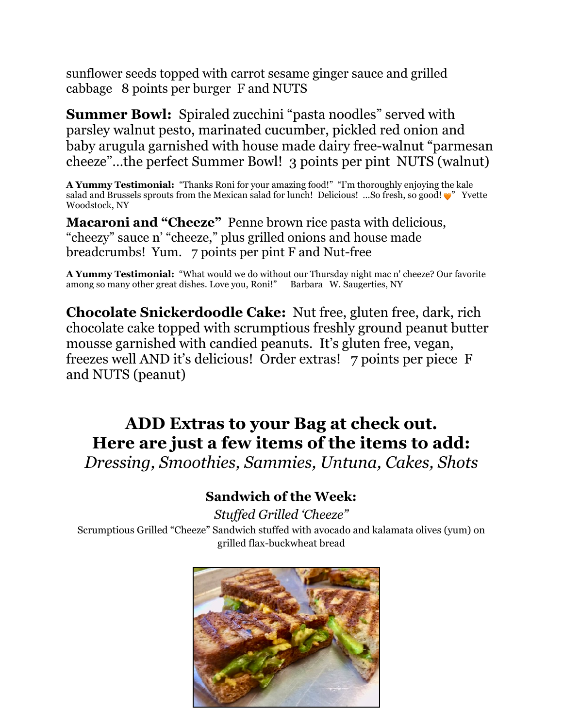sunflower seeds topped with carrot sesame ginger sauce and grilled cabbage 8 points per burger F and NUTS

**Summer Bowl:** Spiraled zucchini "pasta noodles" served with parsley walnut pesto, marinated cucumber, pickled red onion and baby arugula garnished with house made dairy free-walnut "parmesan cheeze"…the perfect Summer Bowl! 3 points per pint NUTS (walnut)

**A Yummy Testimonial:** "Thanks Roni for your amazing food!" "I'm thoroughly enjoying the kale salad and Brussels sprouts from the Mexican salad for lunch! Delicious! ...So fresh, so good!  $\bullet$  Yvette Woodstock, NY

**Macaroni and "Cheeze"** Penne brown rice pasta with delicious, "cheezy" sauce n' "cheeze," plus grilled onions and house made breadcrumbs! Yum. 7 points per pint F and Nut-free

**A Yummy Testimonial:** "What would we do without our Thursday night mac n' cheeze? Our favorite among so many other great dishes. Love you, Roni!" Barbara W. Saugerties, NY

**Chocolate Snickerdoodle Cake:** Nut free, gluten free, dark, rich chocolate cake topped with scrumptious freshly ground peanut butter mousse garnished with candied peanuts. It's gluten free, vegan, freezes well AND it's delicious! Order extras! 7 points per piece F and NUTS (peanut)

## **ADD Extras to your Bag at check out. Here are just a few items of the items to add:**  *Dressing, Smoothies, Sammies, Untuna, Cakes, Shots*

## **Sandwich of the Week:**

*Stuffed Grilled 'Cheeze"*  Scrumptious Grilled "Cheeze" Sandwich stuffed with avocado and kalamata olives (yum) on grilled flax-buckwheat bread

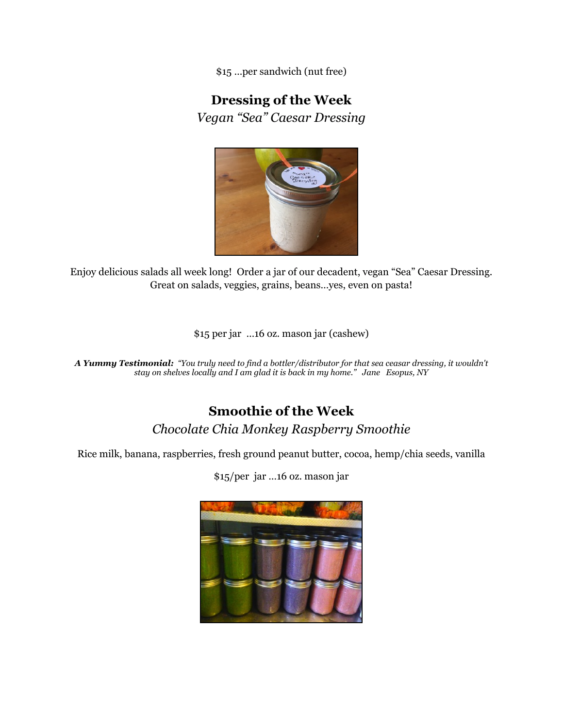\$15 …per sandwich (nut free)

## **Dressing of the Week**

*Vegan "Sea" Caesar Dressing* 



Enjoy delicious salads all week long! Order a jar of our decadent, vegan "Sea" Caesar Dressing. Great on salads, veggies, grains, beans…yes, even on pasta!

\$15 per jar …16 oz. mason jar (cashew)

*A Yummy Testimonial: "You truly need to find a bottler/distributor for that sea ceasar dressing, it wouldn't stay on shelves locally and I am glad it is back in my home." Jane Esopus, NY* 

#### **Smoothie of the Week** *Chocolate Chia Monkey Raspberry Smoothie*

Rice milk, banana, raspberries, fresh ground peanut butter, cocoa, hemp/chia seeds, vanilla

\$15/per jar …16 oz. mason jar